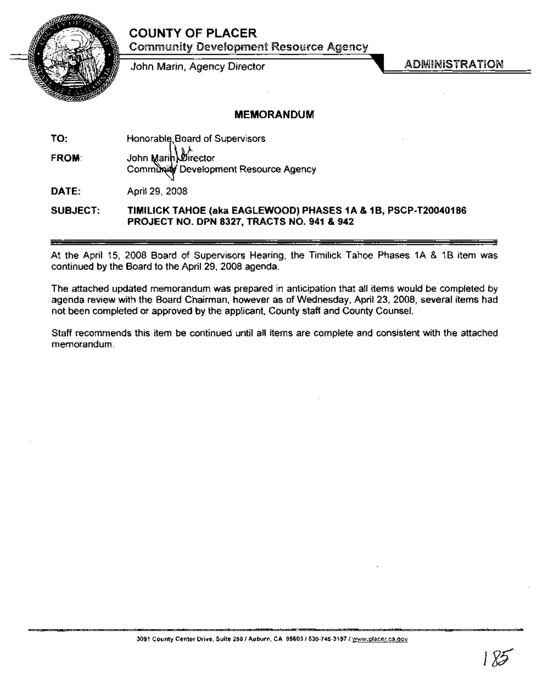# COUNTY OF PLACER



Community Development Resource Agency

John Marin, Agency Director

ADMINISTRATION

## MEMORANDUM

TO: FROM: Honorable, Board of Supervisors John Marih *Director* Community Development Resource Agency

DATE: April 29, 2008

#### SUBJECT: TIMILICK TAHOE (aka EAGLEWOOD) PHASES 1A & 1B, PSCP-T20040186 PROJECT NO. DPN 8327, TRACTS NO. 941 & 942

At the April 15, 2008 Board of Supervisors Hearing, the Timilick Tahoe Phases 1A & 1B item was continued by the Board to the April 29, 2008 agenda.

The attached updated memorandum was prepared in anticipation that all items would be completed by agenda review with the Board Chairman, however as of Wednesday, April 23, 2008, several items had not been completed or approved by the applicant, County staff and County Counsel.

Staff recommends this item be continued until all items are complete and consistent with the attached memorandum.

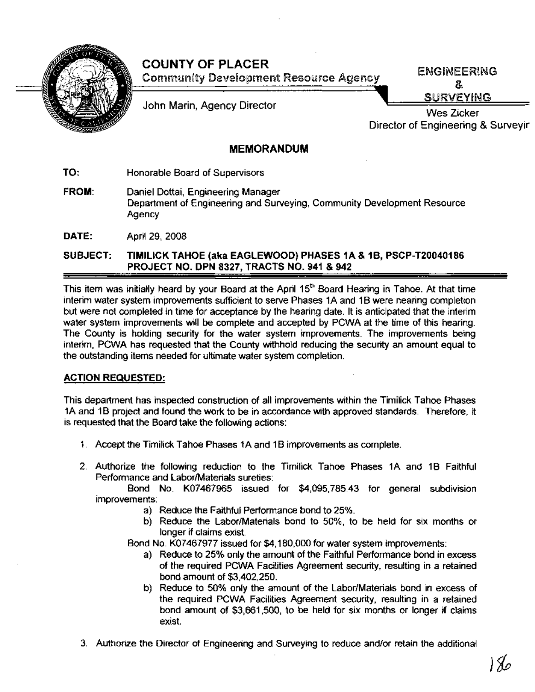

# COUNTY OF PLACER Community Development Resource Agency

ENGINEERING & SURVEYING

John Marin, Agency Director

Wes Zicker Director of Engineering & Surveyir

## MEMORANDUM

TO: Honorable Board of Supervisors

FROM: Daniel Dottai, Engineering Manager Department of Engineering and Surveying, Community Development Resource Agency

DATE: April 29, 2008

SUBJECT: TIMILICK TAHOE (aka EAGLEWOOD) PHASES 1A & 1B, PSCP-T20040186 PROJECT NO. DPN 8327, TRACTS NO. 941 & 942

This item was initially heard by your Board at the April 15<sup>th</sup> Board Hearing in Tahoe. At that time interim water system improvements sufficient to serve Phases 1A and 1B were nearing completion but were not completed in time for acceptance by the hearing date. It is anticipated that the interim water system improvements will be complete and accepted by PCWA at the time of this hearing. The County is holding security for the water system improvements. The improvements being interim, PCWA has requested that the County withhold reducing the security an amount equal to the outstanding items needed for ultimate water system completion.

## ACTION REQUESTED:

This department has inspected construction of all improvements within the Timilick Tahoe Phases 1A and 1B project and found the work to be in accordance with approved standards. Therefore, it is requested that the Board take the following actions:

- 1. Accept the Timilick Tahoe Phases 1A and 1B improvements as complete.
- 2. Authorize the following reduction to the Timilick Tahoe Phases 1A and 1B Faithful Performance and Labor/Materials sureties:

Bond No. K07467965 issued for \$4,095,785.43 for general subdivision improvements:

- a) Reduce the Faithful Performance bond to 25%.
- b) Reduce the Labor/Materials bond to 50%, to be held for six months or longer if claims exist.

Bond No. K07467977 issued for \$4,180,000 for water system improvements:

- a) Reduce to 25% only the amount of the Faithful Performance bond in excess of the required PCWA Facilities Agreement security, resulting in a retained bond amount of \$3,402,250.
- b) Reduce to 50% only the amount of the Labor/Materials bond in excess of the required PCWA Facilities Agreement security, resulting in a retained bond amount of \$3,661,500, to be held for six months or longer if claims exist.
- 3. Authorize the Director ofEngineering and Surveying to reduce and/or retain the additional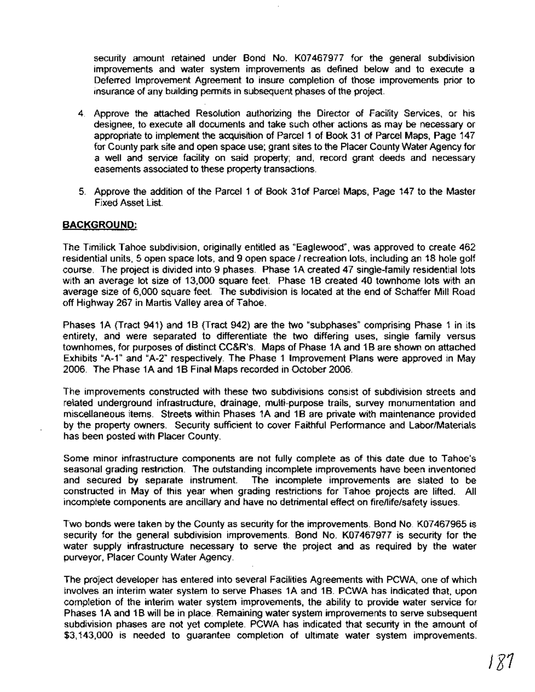security amount retained under Bond No. K07467977 for the general subdivision improvements and water system improvements as defined below and to execute a Deferred Improvement Agreement to insure completion of those improvements prior to insurance of any building permits in subsequent phases of the project.

- 4. Approve the attached Resolution authorizing the Director of Facility Services, or his designee, to execute all documents and take such other actions as may be necessary or appropriate to implement the acquisition of Parcel 1 of Book 31 of Parcel Maps, Page 147 for County park site and open space use; grant sites to the Placer County Water Agency for a well and service facility on said property; and, record grant deeds and necessary easements associated to these property transactions.
- 5. Approve the addition of the Parcel 1 of Book 310f Parcel Maps, Page 147 to the Master Fixed Asset List.

#### **BACKGROUND:**

The Timilick Tahoe subdivision, originally entitled as "Eaglewood", was approved to create 462 residential units, 5 open space lots, and 9 open space / recreation lots, including an 18 hole golf course. The project is divided into 9 phases. Phase 1A created 47 single-family residential lots with an average lot size of 13,000 square feet. Phase 1B created 40 townhome lots with an average size of 6,000 square feet. The subdivision is located at the end of Schaffer Mill Road off Highway 267 in Martis Valley area of Tahoe.

Phases 1A (Tract 941) and 1B (Tract 942) are the two "subphases" comprising Phase 1 in its entirety, and were separated to differentiate the two differing uses, single family versus townhomes, for purposes of distinct CC&R's. Maps of Phase 1A and 1B are shown on attached Exhibits "A-1" and "A-2" respectively. The Phase 1 Improvement Plans were approved in May 2006. The Phase 1A and 1B Final Maps recorded in October 2006.

The improvements constructed with these two subdivisions consist of subdivision streets and related underground infrastructure, drainage, multi-purpose trails, survey monumentation and miscellaneous items. Streets within Phases 1A and 1B are private with maintenance provided by the property owners. Security sufficient to cover Faithful Performance and Labor/Materials has been posted with Placer County.

Some minor infrastructure components are not fully complete as of this date due to Tahoe's seasonal grading restriction. The outstanding incomplete improvements have been inventoried and secured by separate instrument. The incomplete improvements are slated to be constructed in May of this year when grading restrictions for Tahoe projects are lifted. All incomplete components are ancillary and have no detrimental effect on firellife/safety issues.

Two bonds were taken by the County as security for the improvements. Bond No. K07467965 is security for the general subdivision improvements. Bond No. K07467977 is security for the water supply infrastructure necessary to serve the project and as required by the water purveyor, Placer County Water Agency.

The project developer has entered into several Facilities Agreements with PCWA, one of which involves an interim water system to serve Phases 1A and 1B. PCWA has indicated that, upon completion of the interim water system improvements, the ability to provide water service for Phases 1A and 1B will be in place. Remaining water system improvements to serve subsequent subdivision phases are not yet complete. PCWA has indicated that security in the amount of \$3,143,000 is needed to guarantee completion of ultimate water system improvements.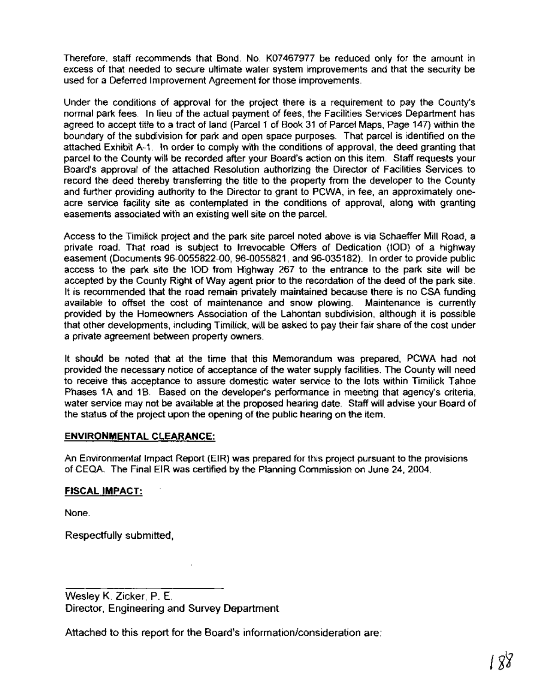Therefore, staff recommends that Bond. No. K07467977 be reduced only for the amount in excess ofthat needed to secure ultimate water system improvements and that the security be used for a Deferred Improvement Agreement for those improvements.

Under the conditions of approval for the project there is a requirement to pay the County's normal park fees. In lieu of the actual payment of fees, the Facilities Services Department has agreed to accept title to a tract of land (Parcel 1 of Book 31 of Parcel Maps, Page 147) within the boundary of the subdivision for park and open space purposes. That parcel is identified on the attached Exhibit A-1. In order to comply with the conditions of approval, the deed granting that parcel to the County will be recorded after your Board's action on this item. Staff requests your Board's approval of the attached Resolution authorizing the Director of Facilities Services to record the deed thereby transferring the title to the property from the developer to the County and further providing authority to the Director to grant to PCWA, in fee, an approximately oneacre service facility site as contemplated in the conditions of approval, along with granting easements associated with an existing well site on the parcel.

Access to the Timilick project and the park site parcel noted above is via Schaeffer Mill Road, a private road. That road is subject to Irrevocable Offers of Dedication (100) of a highway easement (Documents 96-0055822-00, 96-0055821, and 96-035182). In order to provide public access to the park site the 100 from Highway 267 to the entrance to the park site will be accepted by the County Right of Way agent prior to the recordation of the deed of the park site. It is recommended that the road remain privately maintained because there is no CSA funding available to offset the cost of maintenance and snow plowing. Maintenance is currently provided by the Homeowners Association of the Lahontan subdivision, although it is possible that other developments, including Timilick, will be asked to pay their fair share of the cost under a private agreement between property owners.

It should be noted that at the time that this Memorandum was prepared, PCWA had not provided the necessary notice of acceptance of the water supply facilities. The County will need to receive this acceptance to assure domestic water service to the lots within Timilick Tahoe Phases 1A and 1B. Based on the developer's performance in meeting that agency's criteria, water service may not be available at the proposed hearing date. Staff will advise your Board of the status of the project upon the opening of the public hearing on the item.

#### **ENVIRONMENTAL CLEARANCE:**

An Environmental Impact Report (EIR) was prepared for this project pursuant to the provisions of CEQA. The Final EIR was certified by the Planning Commission on June 24,2004.

#### **FISCAL IMPACT:**

None.

Respectfully submitted,

Wesley K. Zicker, P. E. Director, Engineering and Survey Department

Attached to this report for the Board's information/consideration are: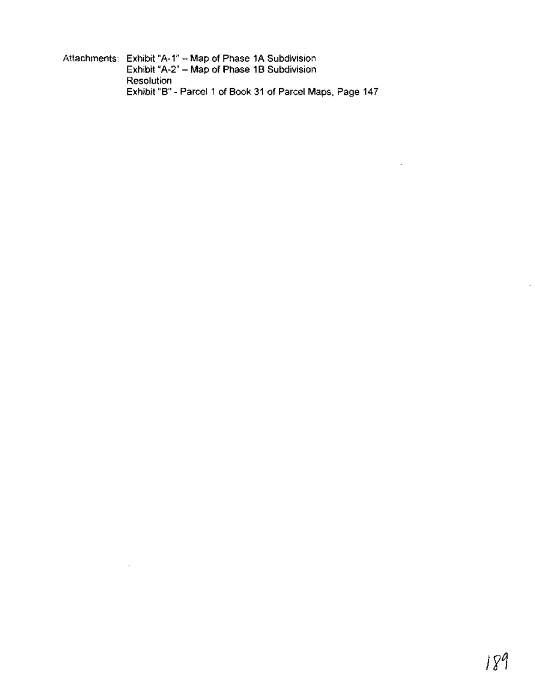Attachments: Exhibit "A-1" - Map of Phase 1A Subdivision Exhibit "A-2" - Map of Phase 1B Subdivision Resolution Exhibit "B" - Parcel 1 of Book 31 of Parcel Maps, Page 147

 $\sim 10^{-11}$ 

 $\ddot{\phantom{a}}$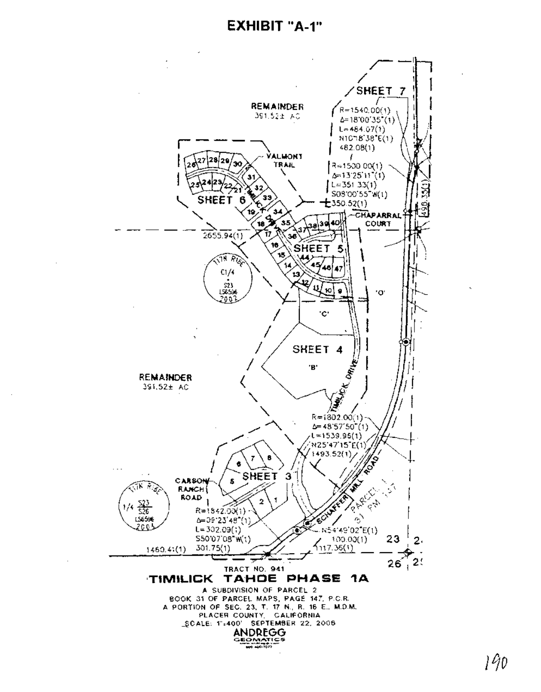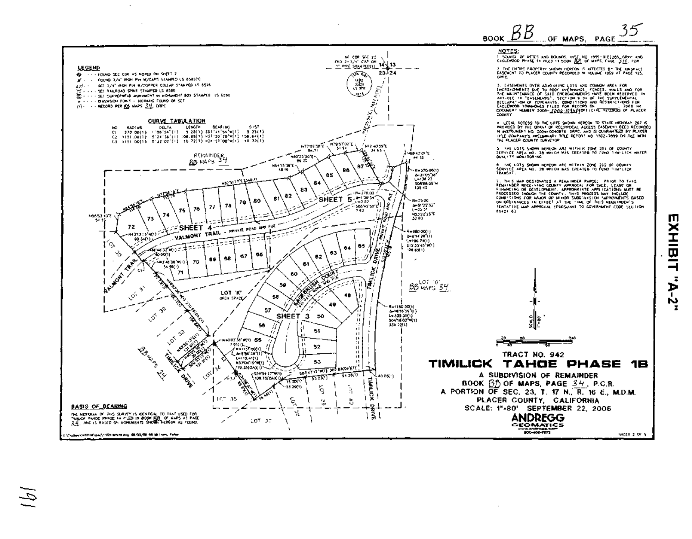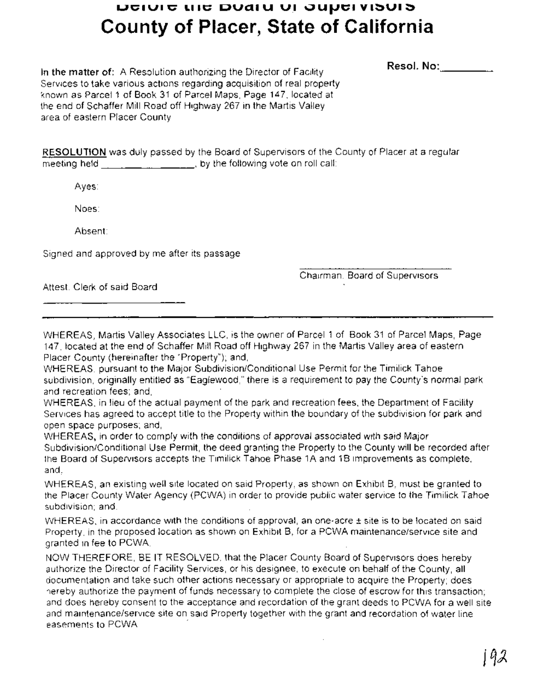# **UCIUIC LIIC DUAIU UI JUPEIVISUIS County of Placer, State of California**

**Resol.** No: \_

**In the matter of:** A Resolution authorizing the Director of Facility Services to take various actions regarding acquisition of real property known as Parcel 1 of Book 31 of Parcel Maps, Page 147, located at the end of Schaffer Mill Road off Highway 267 in the Martis Valley area of eastern Placer County.

**RESOLUTION** was duly passed by the Board of Supervisors of the County of Placer at a regular meeting held  $\frac{1}{1}$  ,  $\frac{1}{1}$  ,  $\frac{1}{1}$  , by the following vote on roll call:

Ayes:

Noes:

Absent:

Signed and approved by me after its passage.

Chairman, Board of Supervisors

Attest: Clerk of said Board

WHEREAS, Martis Valley Associates LLC, is the owner of Parcel 1 of Book 31 of Parcel Maps, Page 147, located at the end of Schaffer Mill Road off Highway 267 in the Martis Valley area of eastern Placer County (hereinafter the "Property"); and,

WHEREAS, pursuant to the Major Subdivision/Conditional Use Permit for the Timilick Tahoe subdivision, originally entitled as "Eaglewood," there is a requirement to pay the County's normal park and recreation fees; and,

WHEREAS, in lieu of the actual payment of the park and recreation fees, the Department of Facility Services has agreed to accept title to the Property within the boundary of the subdivision for park and open space purposes; and,

WHEREAS, in order to comply with the conditions of approval associated with said Major Subdivision/Conditional Use Permit, the deed granting the Property to the County will be recorded after the Board of Supervisors accepts the Timilick Tahoe Phase 1A and 1B improvements as complete; and,

WHEREAS, an existing well site located on said Property, as shown on Exhibit B, must be granted to the Placer County Water Agency (PCWA) in order to provide public water service to the Timilick Tahoe subdivision; and,

WHEREAS, in accordance with the conditions of approval, an one-acre ± site is to be located on said Property, in the proposed location as shown on Exhibit B, for a PCWA maintenance/service site and granted in fee to PCWA.

NOW THEREFORE, BE IT RESOLVED, that the Placer County Board of Supervisors does hereby authorize the Director of Facility Services, or his designee, to execute on behalf of the County, all documentation and take such other actions necessary or appropriate to acquire the Property; does hereby authorize the payment of funds necessary to complete the close of escrow for this transaction; and does hereby consent to the acceptance and recordation of the grant deeds to PCWA for a well site and maintenance/service site on said Property together with the grant and recordation of water line easements to PCWA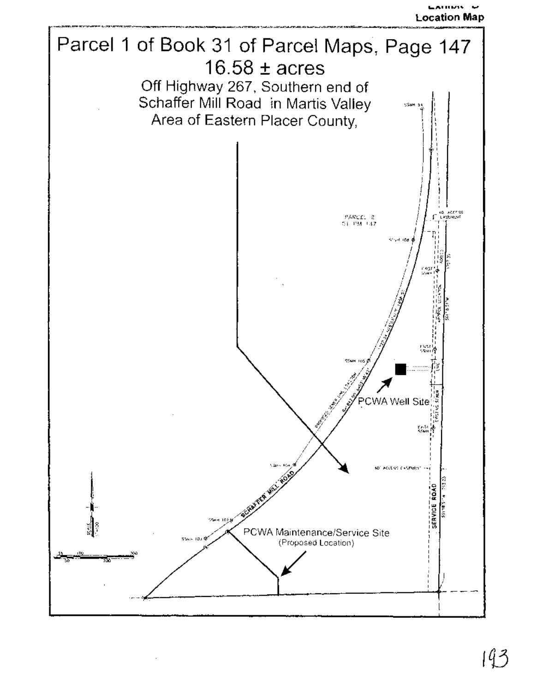**Location Map**